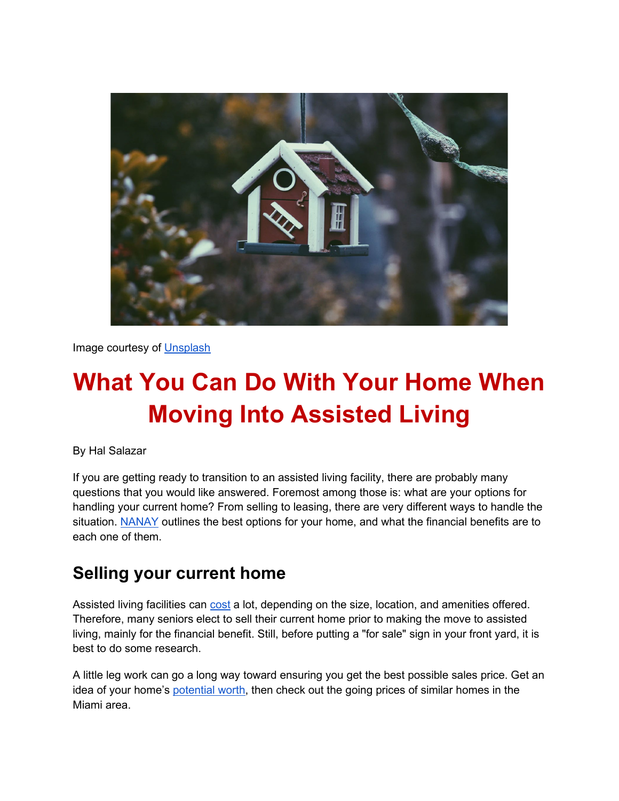

Image courtesy of [Unsplash](https://unsplash.com/photos/0yfWDwHOB0g)

# **What You Can Do With Your Home When Moving Into Assisted Living**

By Hal Salazar

If you are getting ready to transition to an assisted living facility, there are probably many questions that you would like answered. Foremost among those is: what are your options for handling your current home? From selling to leasing, there are very different ways to handle the situation. [NANAY](https://www.nanay.com/) outlines the best options for your home, and what the financial benefits are to each one of them.

#### **Selling your current home**

Assisted living facilities can [cost](https://www.whereyoulivematters.org/how-much-does-assisted-living-cost/) a lot, depending on the size, location, and amenities offered. Therefore, many seniors elect to sell their current home prior to making the move to assisted living, mainly for the financial benefit. Still, before putting a "for sale" sign in your front yard, it is best to do some research.

A little leg work can go a long way toward ensuring you get the best possible sales price. Get an idea of your home's [potential worth,](https://www.redfin.com/what-is-my-home-worth) then check out the going prices of similar homes in the Miami area.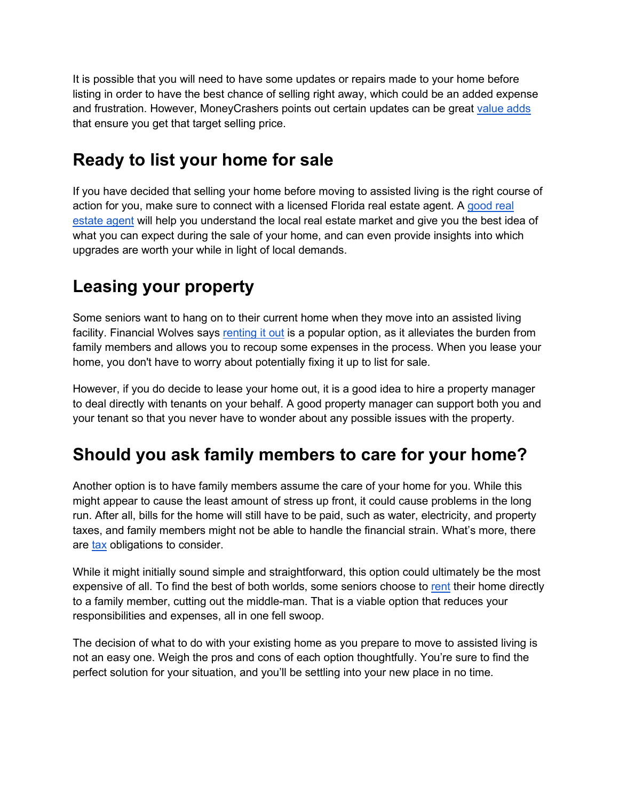It is possible that you will need to have some updates or repairs made to your home before listing in order to have the best chance of selling right away, which could be an added expense and frustration. However, MoneyCrashers points out certain updates can be great [value adds](https://www.moneycrashers.com/7-home-improvements-to-increase-its-value/) that ensure you get that target selling price.

# **Ready to list your home for sale**

If you have decided that selling your home before moving to assisted living is the right course of action for you, make sure to connect with a licensed Florida real estate agent. A [good real](https://www.thebalance.com/finding-a-real-estate-agent-1798907)  [estate agent](https://www.thebalance.com/finding-a-real-estate-agent-1798907) will help you understand the local real estate market and give you the best idea of what you can expect during the sale of your home, and can even provide insights into which upgrades are worth your while in light of local demands.

# **Leasing your property**

Some seniors want to hang on to their current home when they move into an assisted living facility. Financial Wolves says [renting it out](https://financialwolves.com/renting-vs-selling-pros-and-cons/) is a popular option, as it alleviates the burden from family members and allows you to recoup some expenses in the process. When you lease your home, you don't have to worry about potentially fixing it up to list for sale.

However, if you do decide to lease your home out, it is a good idea to hire a property manager to deal directly with tenants on your behalf. A good property manager can support both you and your tenant so that you never have to wonder about any possible issues with the property.

# **Should you ask family members to care for your home?**

Another option is to have family members assume the care of your home for you. While this might appear to cause the least amount of stress up front, it could cause problems in the long run. After all, bills for the home will still have to be paid, such as water, electricity, and property taxes, and family members might not be able to handle the financial strain. What's more, there are [tax](https://web.blockadvisors.com/family-property-transfers/) obligations to consider.

While it might initially sound simple and straightforward, this option could ultimately be the most expensive of all. To find the best of both worlds, some seniors choose t[o](https://budgeting.thenest.com/rules-renting-relative-21678.html) [rent](https://budgeting.thenest.com/rules-renting-relative-21678.html) their home directly to a family member, cutting out the middle-man. That is a viable option that reduces your responsibilities and expenses, all in one fell swoop.

The decision of what to do with your existing home as you prepare to move to assisted living is not an easy one. Weigh the pros and cons of each option thoughtfully. You're sure to find the perfect solution for your situation, and you'll be settling into your new place in no time.